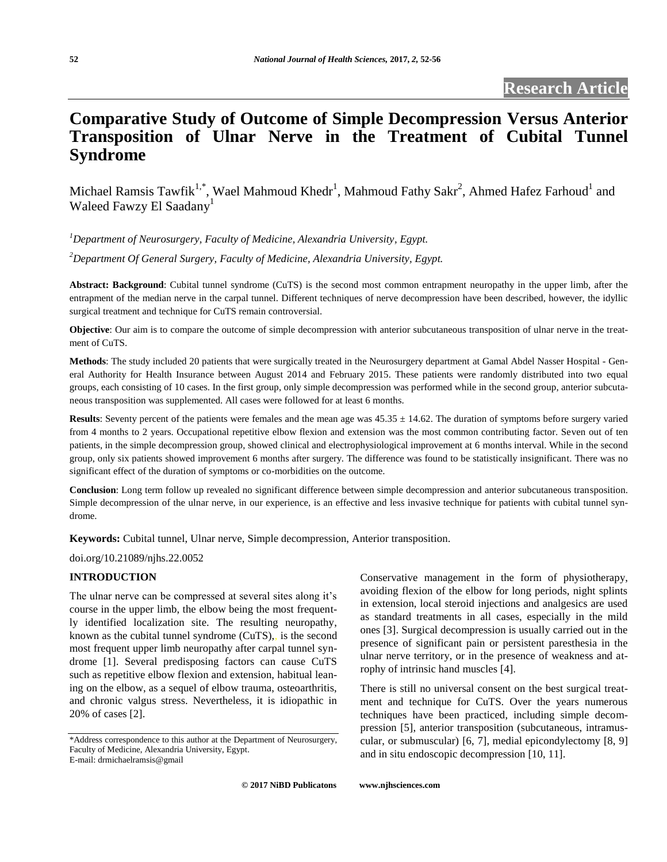# **Comparative Study of Outcome of Simple Decompression Versus Anterior Transposition of Ulnar Nerve in the Treatment of Cubital Tunnel Syndrome**

Michael Ramsis Tawfik<sup>1,\*</sup>, Wael Mahmoud Khedr<sup>1</sup>, Mahmoud Fathy Sakr<sup>2</sup>, Ahmed Hafez Farhoud<sup>1</sup> and Waleed Fawzy El Saadany<sup>1</sup>

*<sup>1</sup>Department of Neurosurgery, Faculty of Medicine, Alexandria University, Egypt.*

*<sup>2</sup>Department Of General Surgery, Faculty of Medicine, Alexandria University, Egypt.*

**Abstract: Background**: Cubital tunnel syndrome (CuTS) is the second most common entrapment neuropathy in the upper limb, after the entrapment of the median nerve in the carpal tunnel. Different techniques of nerve decompression have been described, however, the idyllic surgical treatment and technique for CuTS remain controversial.

**Objective**: Our aim is to compare the outcome of simple decompression with anterior subcutaneous transposition of ulnar nerve in the treatment of CuTS.

**Methods**: The study included 20 patients that were surgically treated in the Neurosurgery department at Gamal Abdel Nasser Hospital - General Authority for Health Insurance between August 2014 and February 2015. These patients were randomly distributed into two equal groups, each consisting of 10 cases. In the first group, only simple decompression was performed while in the second group, anterior subcutaneous transposition was supplemented. All cases were followed for at least 6 months.

**Results**: Seventy percent of the patients were females and the mean age was  $45.35 \pm 14.62$ . The duration of symptoms before surgery varied from 4 months to 2 years. Occupational repetitive elbow flexion and extension was the most common contributing factor. Seven out of ten patients, in the simple decompression group, showed clinical and electrophysiological improvement at 6 months interval. While in the second group, only six patients showed improvement 6 months after surgery. The difference was found to be statistically insignificant. There was no significant effect of the duration of symptoms or co-morbidities on the outcome.

**Conclusion**: Long term follow up revealed no significant difference between simple decompression and anterior subcutaneous transposition. Simple decompression of the ulnar nerve, in our experience, is an effective and less invasive technique for patients with cubital tunnel syndrome.

**Keywords:** Cubital tunnel, Ulnar nerve, Simple decompression, Anterior transposition.

doi.org/10.21089/njhs.22.0052

## **INTRODUCTION**

The ulnar nerve can be compressed at several sites along it's course in the upper limb, the elbow being the most frequently identified localization site. The resulting neuropathy, known as the cubital tunnel syndrome (CuTS),, is the second most frequent upper limb neuropathy after carpal tunnel syndrome [1]. Several predisposing factors can cause CuTS such as repetitive elbow flexion and extension, habitual leaning on the elbow, as a sequel of elbow trauma, osteoarthritis, and chronic valgus stress. Nevertheless, it is idiopathic in 20% of cases [2].

Conservative management in the form of physiotherapy, avoiding flexion of the elbow for long periods, night splints in extension, local steroid injections and analgesics are used as standard treatments in all cases, especially in the mild ones [3]. Surgical decompression is usually carried out in the presence of significant pain or persistent paresthesia in the ulnar nerve territory, or in the presence of weakness and atrophy of intrinsic hand muscles [4].

There is still no universal consent on the best surgical treatment and technique for CuTS. Over the years numerous techniques have been practiced, including simple decompression [5], anterior transposition (subcutaneous, intramuscular, or submuscular) [6, 7], medial epicondylectomy [8, 9] and in situ endoscopic decompression [10, 11].

**© 2017 NiBD Publicatons [www.njhsciences.com](http://www.njhsciences.com/)**

<sup>\*</sup>Address correspondence to this author at the Department of Neurosurgery, Faculty of Medicine, Alexandria University, Egypt. E-mail: drmichaelramsis@gmail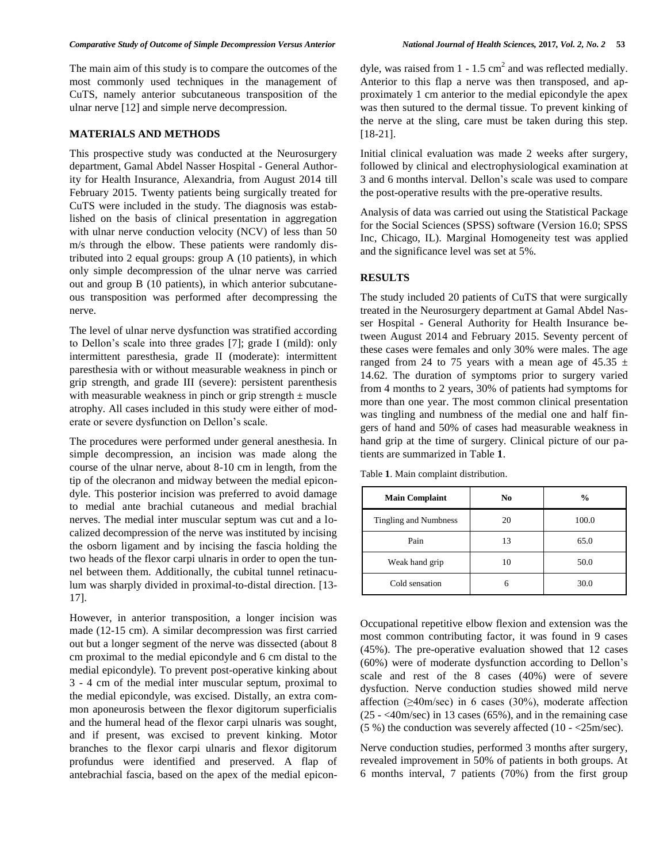The main aim of this study is to compare the outcomes of the most commonly used techniques in the management of CuTS, namely anterior subcutaneous transposition of the ulnar nerve [12] and simple nerve decompression.

# **MATERIALS AND METHODS**

This prospective study was conducted at the Neurosurgery department, Gamal Abdel Nasser Hospital - General Authority for Health Insurance, Alexandria, from August 2014 till February 2015. Twenty patients being surgically treated for CuTS were included in the study. The diagnosis was established on the basis of clinical presentation in aggregation with ulnar nerve conduction velocity (NCV) of less than 50 m/s through the elbow. These patients were randomly distributed into 2 equal groups: group A (10 patients), in which only simple decompression of the ulnar nerve was carried out and group B (10 patients), in which anterior subcutaneous transposition was performed after decompressing the nerve.

The level of ulnar nerve dysfunction was stratified according to Dellon's scale into three grades [7]; grade I (mild): only intermittent paresthesia, grade II (moderate): intermittent paresthesia with or without measurable weakness in pinch or grip strength, and grade III (severe): persistent parenthesis with measurable weakness in pinch or grip strength  $\pm$  muscle atrophy. All cases included in this study were either of moderate or severe dysfunction on Dellon's scale.

The procedures were performed under general anesthesia. In simple decompression, an incision was made along the course of the ulnar nerve, about 8-10 cm in length, from the tip of the olecranon and midway between the medial epicondyle. This posterior incision was preferred to avoid damage to medial ante brachial cutaneous and medial brachial nerves. The medial inter muscular septum was cut and a localized decompression of the nerve was instituted by incising the osborn ligament and by incising the fascia holding the two heads of the flexor carpi ulnaris in order to open the tunnel between them. Additionally, the cubital tunnel retinaculum was sharply divided in proximal-to-distal direction. [13- 17].

However, in anterior transposition, a longer incision was made (12-15 cm). A similar decompression was first carried out but a longer segment of the nerve was dissected (about 8 cm proximal to the medial epicondyle and 6 cm distal to the medial epicondyle). To prevent post-operative kinking about 3 - 4 cm of the medial inter muscular septum, proximal to the medial epicondyle, was excised. Distally, an extra common aponeurosis between the flexor digitorum superficialis and the humeral head of the flexor carpi ulnaris was sought, and if present, was excised to prevent kinking. Motor branches to the flexor carpi ulnaris and flexor digitorum profundus were identified and preserved. A flap of antebrachial fascia, based on the apex of the medial epicon-

dyle, was raised from 1 - 1.5 cm<sup>2</sup> and was reflected medially. Anterior to this flap a nerve was then transposed, and approximately 1 cm anterior to the medial epicondyle the apex was then sutured to the dermal tissue. To prevent kinking of the nerve at the sling, care must be taken during this step. [18-21].

Initial clinical evaluation was made 2 weeks after surgery, followed by clinical and electrophysiological examination at 3 and 6 months interval. Dellon's scale was used to compare the post-operative results with the pre-operative results.

Analysis of data was carried out using the Statistical Package for the Social Sciences (SPSS) software (Version 16.0; SPSS Inc, Chicago, IL). Marginal Homogeneity test was applied and the significance level was set at 5%.

## **RESULTS**

The study included 20 patients of CuTS that were surgically treated in the Neurosurgery department at Gamal Abdel Nasser Hospital - General Authority for Health Insurance between August 2014 and February 2015. Seventy percent of these cases were females and only 30% were males. The age ranged from 24 to 75 years with a mean age of 45.35  $\pm$ 14.62. The duration of symptoms prior to surgery varied from 4 months to 2 years, 30% of patients had symptoms for more than one year. The most common clinical presentation was tingling and numbness of the medial one and half fingers of hand and 50% of cases had measurable weakness in hand grip at the time of surgery. Clinical picture of our patients are summarized in Table **1**.

Table **1**. Main complaint distribution.

| <b>Main Complaint</b> | N <sub>0</sub> | $\frac{6}{9}$ |
|-----------------------|----------------|---------------|
| Tingling and Numbness | 20             | 100.0         |
| Pain                  | 13             | 65.0          |
| Weak hand grip        | 10             | 50.0          |
| Cold sensation        | 6              | 30.0          |

Occupational repetitive elbow flexion and extension was the most common contributing factor, it was found in 9 cases (45%). The pre-operative evaluation showed that 12 cases (60%) were of moderate dysfunction according to Dellon's scale and rest of the 8 cases (40%) were of severe dysfuction. Nerve conduction studies showed mild nerve affection (≥40m/sec) in 6 cases (30%), moderate affection  $(25 - \langle 40 \text{m/sec} \rangle)$  in 13 cases (65%), and in the remaining case (5 %) the conduction was severely affected (10 - <25m/sec).

Nerve conduction studies, performed 3 months after surgery, revealed improvement in 50% of patients in both groups. At 6 months interval, 7 patients (70%) from the first group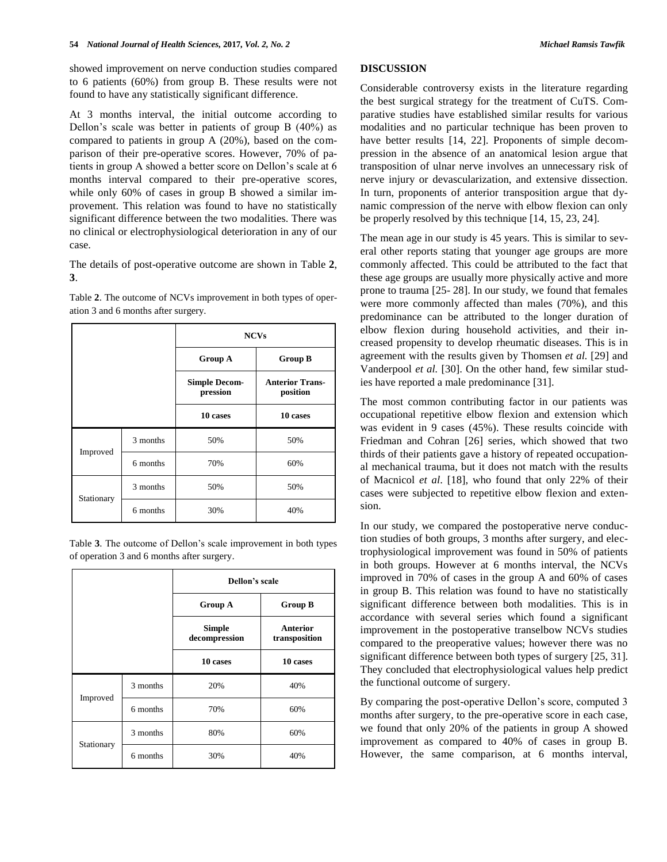showed improvement on nerve conduction studies compared to 6 patients (60%) from group B. These results were not found to have any statistically significant difference.

At 3 months interval, the initial outcome according to Dellon's scale was better in patients of group B (40%) as compared to patients in group A (20%), based on the comparison of their pre-operative scores. However, 70% of patients in group A showed a better score on Dellon's scale at 6 months interval compared to their pre-operative scores, while only 60% of cases in group B showed a similar improvement. This relation was found to have no statistically significant difference between the two modalities. There was no clinical or electrophysiological deterioration in any of our case.

The details of post-operative outcome are shown in Table **2**, **3**.

Table **2**. The outcome of NCVs improvement in both types of operation 3 and 6 months after surgery.

|            |          | <b>NCVs</b>                      |                                    |
|------------|----------|----------------------------------|------------------------------------|
|            |          | <b>Group A</b>                   | <b>Group B</b>                     |
|            |          | <b>Simple Decom-</b><br>pression | <b>Anterior Trans-</b><br>position |
|            |          | 10 cases                         | 10 cases                           |
| Improved   | 3 months | 50%                              | 50%                                |
|            | 6 months | 70%                              | 60%                                |
| Stationary | 3 months | 50%                              | 50%                                |
|            | 6 months | 30%                              | 40%                                |

Table **3**. The outcome of Dellon's scale improvement in both types of operation 3 and 6 months after surgery.

|            |          | Dellon's scale                 |                           |
|------------|----------|--------------------------------|---------------------------|
|            |          | <b>Group A</b>                 | <b>Group B</b>            |
|            |          | <b>Simple</b><br>decompression | Anterior<br>transposition |
|            |          | 10 cases                       | 10 cases                  |
| Improved   | 3 months | 20%                            | 40%                       |
|            | 6 months | 70%                            | 60%                       |
| Stationary | 3 months | 80%                            | 60%                       |
|            | 6 months | 30%                            | 40%                       |

## **DISCUSSION**

Considerable controversy exists in the literature regarding the best surgical strategy for the treatment of CuTS. Comparative studies have established similar results for various modalities and no particular technique has been proven to have better results [14, 22]. Proponents of simple decompression in the absence of an anatomical lesion argue that transposition of ulnar nerve involves an unnecessary risk of nerve injury or devascularization, and extensive dissection. In turn, proponents of anterior transposition argue that dynamic compression of the nerve with elbow flexion can only be properly resolved by this technique [14, 15, 23, 24].

The mean age in our study is 45 years. This is similar to several other reports stating that younger age groups are more commonly affected. This could be attributed to the fact that these age groups are usually more physically active and more prone to trauma [25- 28]. In our study, we found that females were more commonly affected than males (70%), and this predominance can be attributed to the longer duration of elbow flexion during household activities, and their increased propensity to develop rheumatic diseases. This is in agreement with the results given by Thomsen *et al.* [29] and Vanderpool *et al.* [30]. On the other hand, few similar studies have reported a male predominance [31].

The most common contributing factor in our patients was occupational repetitive elbow flexion and extension which was evident in 9 cases (45%). These results coincide with Friedman and Cohran [26] series, which showed that two thirds of their patients gave a history of repeated occupational mechanical trauma, but it does not match with the results of Macnicol *et al*. [18], who found that only 22% of their cases were subjected to repetitive elbow flexion and extension.

In our study, we compared the postoperative nerve conduction studies of both groups, 3 months after surgery, and electrophysiological improvement was found in 50% of patients in both groups. However at 6 months interval, the NCVs improved in 70% of cases in the group A and 60% of cases in group B. This relation was found to have no statistically significant difference between both modalities. This is in accordance with several series which found a significant improvement in the postoperative transelbow NCVs studies compared to the preoperative values; however there was no significant difference between both types of surgery [25, 31]. They concluded that electrophysiological values help predict the functional outcome of surgery.

By comparing the post-operative Dellon's score, computed 3 months after surgery, to the pre-operative score in each case, we found that only 20% of the patients in group A showed improvement as compared to 40% of cases in group B. However, the same comparison, at 6 months interval,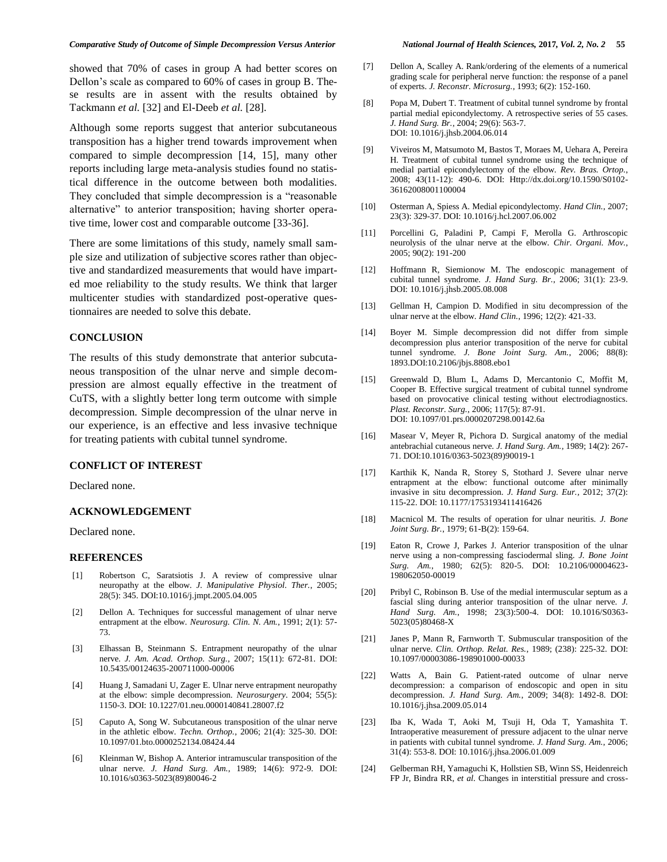showed that 70% of cases in group A had better scores on Dellon's scale as compared to 60% of cases in group B. These results are in assent with the results obtained by Tackmann *et al.* [32] and El-Deeb *et al.* [28].

Although some reports suggest that anterior subcutaneous transposition has a higher trend towards improvement when compared to simple decompression [14, 15], many other reports including large meta-analysis studies found no statistical difference in the outcome between both modalities. They concluded that simple decompression is a "reasonable alternative" to anterior transposition; having shorter operative time, lower cost and comparable outcome [33-36].

There are some limitations of this study, namely small sample size and utilization of subjective scores rather than objective and standardized measurements that would have imparted moe reliability to the study results. We think that larger multicenter studies with standardized post-operative questionnaires are needed to solve this debate.

# **CONCLUSION**

The results of this study demonstrate that anterior subcutaneous transposition of the ulnar nerve and simple decompression are almost equally effective in the treatment of CuTS, with a slightly better long term outcome with simple decompression. Simple decompression of the ulnar nerve in our experience, is an effective and less invasive technique for treating patients with cubital tunnel syndrome.

#### **CONFLICT OF INTEREST**

Declared none.

#### **ACKNOWLEDGEMENT**

Declared none.

#### **REFERENCES**

- [1] Robertson C, Saratsiotis J. A review of compressive ulnar neuropathy at the elbow. *J. Manipulative Physiol. Ther.*, 2005; 28(5): 345. DOI:10.1016/j.jmpt.2005.04.005
- [2] Dellon A. Techniques for successful management of ulnar nerve entrapment at the elbow. *Neurosurg. Clin. N. Am.*, 1991; 2(1): 57- 73.
- [3] Elhassan B, Steinmann S. Entrapment neuropathy of the ulnar nerve. *J. Am. Acad. Orthop. Surg.*, 2007; 15(11): 672-81. DOI: 10.5435/00124635-200711000-00006
- [4] Huang J, Samadani U, Zager E. Ulnar nerve entrapment neuropathy at the elbow: simple decompression. *Neurosurgery*. 2004; 55(5): 1150-3. DOI: 10.1227/01.neu.0000140841.28007.f2
- [5] Caputo A, Song W. Subcutaneous transposition of the ulnar nerve in the athletic elbow. *Techn. Orthop.*, 2006; 21(4): 325-30. DOI: 10.1097/01.bto.0000252134.08424.44
- [6] Kleinman W, Bishop A. Anterior intramuscular transposition of the ulnar nerve. *J. Hand Surg. Am.*, 1989; 14(6): 972-9. DOI: 10.1016/s0363-5023(89)80046-2
- [7] Dellon A, Scalley A. Rank/ordering of the elements of a numerical grading scale for peripheral nerve function: the response of a panel of experts. *J. Reconstr. Microsurg.*, 1993; 6(2): 152-160.
- [8] Popa M, Dubert T. Treatment of cubital tunnel syndrome by frontal partial medial epicondylectomy. A retrospective series of 55 cases. *J. Hand Surg. Br.*, 2004; 29(6): 563-7. DOI: 10.1016/j.jhsb.2004.06.014
- [9] Viveiros M, Matsumoto M, Bastos T, Moraes M, Uehara A, Pereira H. Treatment of cubital tunnel syndrome using the technique of medial partial epicondylectomy of the elbow. *Rev. Bras. Ortop.*, 2008; 43(11-12): 490-6. DOI: Http://dx.doi.org/10.1590/S0102- 36162008001100004
- [10] Osterman A, Spiess A. Medial epicondylectomy. *Hand Clin.*, 2007; 23(3): 329-37. DOI: 10.1016/j.hcl.2007.06.002
- [11] Porcellini G, Paladini P, Campi F, Merolla G. Arthroscopic neurolysis of the ulnar nerve at the elbow. *Chir. Organi. Mov.*, 2005; 90(2): 191-200
- [12] Hoffmann R, Siemionow M. The endoscopic management of cubital tunnel syndrome. *J. Hand Surg. Br.*, 2006; 31(1): 23-9. DOI: 10.1016/j.jhsb.2005.08.008
- [13] Gellman H, Campion D. Modified in situ decompression of the ulnar nerve at the elbow. *Hand Clin.*, 1996; 12(2): 421-33.
- [14] Boyer M. Simple decompression did not differ from simple decompression plus anterior transposition of the nerve for cubital tunnel syndrome. *J. Bone Joint Surg. Am.*, 2006; 88(8): 1893.DOI:10.2106/jbjs.8808.ebo1
- [15] Greenwald D, Blum L, Adams D, Mercantonio C, Moffit M, Cooper B. Effective surgical treatment of cubital tunnel syndrome based on provocative clinical testing without electrodiagnostics. *Plast. Reconstr. Surg.*, 2006; 117(5): 87-91. DOI: 10.1097/01.prs.0000207298.00142.6a
- [16] Masear V, Meyer R, Pichora D. Surgical anatomy of the medial antebrachial cutaneous nerve. *J. Hand Surg. Am.*, 1989; 14(2): 267- 71. DOI:10.1016/0363-5023(89)90019-1
- [17] Karthik K, Nanda R, Storey S, Stothard J. Severe ulnar nerve entrapment at the elbow: functional outcome after minimally invasive in situ decompression. *J. Hand Surg. Eur.,* 2012; 37(2): 115-22. DOI: 10.1177/1753193411416426
- [18] Macnicol M. The results of operation for ulnar neuritis. *J. Bone Joint Surg. Br.*, 1979; 61-B(2): 159-64.
- [19] Eaton R, Crowe J, Parkes J. Anterior transposition of the ulnar nerve using a non-compressing fasciodermal sling. *J. Bone Joint Surg. Am.*, 1980; 62(5): 820-5. DOI: 10.2106/00004623- 198062050-00019
- [20] Pribyl C, Robinson B. Use of the medial intermuscular septum as a fascial sling during anterior transposition of the ulnar nerve. *J. Hand Surg. Am.*, 1998; 23(3):500-4. DOI: 10.1016/S0363- 5023(05)80468-X
- [21] Janes P, Mann R, Farnworth T. Submuscular transposition of the ulnar nerve. *Clin. Orthop. Relat. Res.*, 1989; (238): 225-32. DOI: 10.1097/00003086-198901000-00033
- [22] Watts A, Bain G. Patient-rated outcome of ulnar nerve decompression: a comparison of endoscopic and open in situ decompression. *J. Hand Surg. Am.*, 2009; 34(8): 1492-8. DOI: 10.1016/j.jhsa.2009.05.014
- [23] Iba K, Wada T, Aoki M, Tsuji H, Oda T, Yamashita T. Intraoperative measurement of pressure adjacent to the ulnar nerve in patients with cubital tunnel syndrome. *J. Hand Surg. Am.*, 2006; 31(4): 553-8. DOI: 10.1016/j.jhsa.2006.01.009
- [24] Gelberman RH, Yamaguchi K, Hollstien SB, Winn SS, Heidenreich FP Jr, Bindra RR, *et al.* Changes in interstitial pressure and cross-